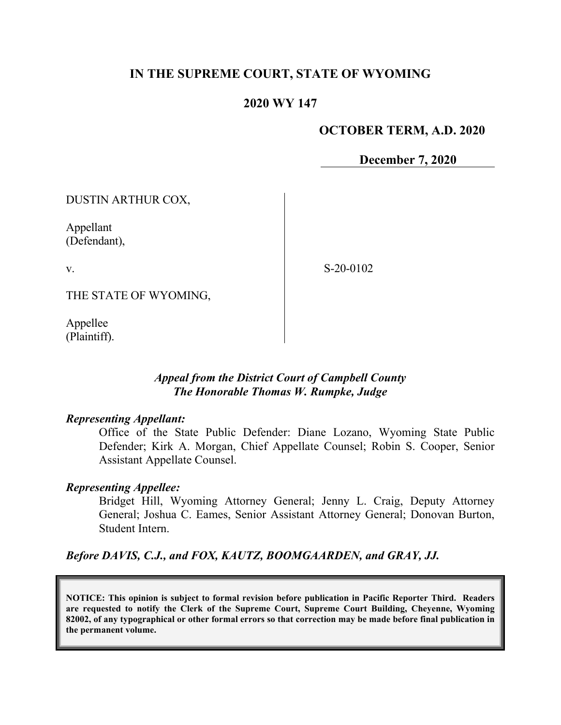## **IN THE SUPREME COURT, STATE OF WYOMING**

### **2020 WY 147**

### **OCTOBER TERM, A.D. 2020**

**December 7, 2020**

DUSTIN ARTHUR COX,

Appellant (Defendant),

v.

S-20-0102

THE STATE OF WYOMING,

Appellee (Plaintiff).

### *Appeal from the District Court of Campbell County The Honorable Thomas W. Rumpke, Judge*

#### *Representing Appellant:*

Office of the State Public Defender: Diane Lozano, Wyoming State Public Defender; Kirk A. Morgan, Chief Appellate Counsel; Robin S. Cooper, Senior Assistant Appellate Counsel.

#### *Representing Appellee:*

Bridget Hill, Wyoming Attorney General; Jenny L. Craig, Deputy Attorney General; Joshua C. Eames, Senior Assistant Attorney General; Donovan Burton, Student Intern.

#### *Before DAVIS, C.J., and FOX, KAUTZ, BOOMGAARDEN, and GRAY, JJ.*

**NOTICE: This opinion is subject to formal revision before publication in Pacific Reporter Third. Readers are requested to notify the Clerk of the Supreme Court, Supreme Court Building, Cheyenne, Wyoming 82002, of any typographical or other formal errors so that correction may be made before final publication in the permanent volume.**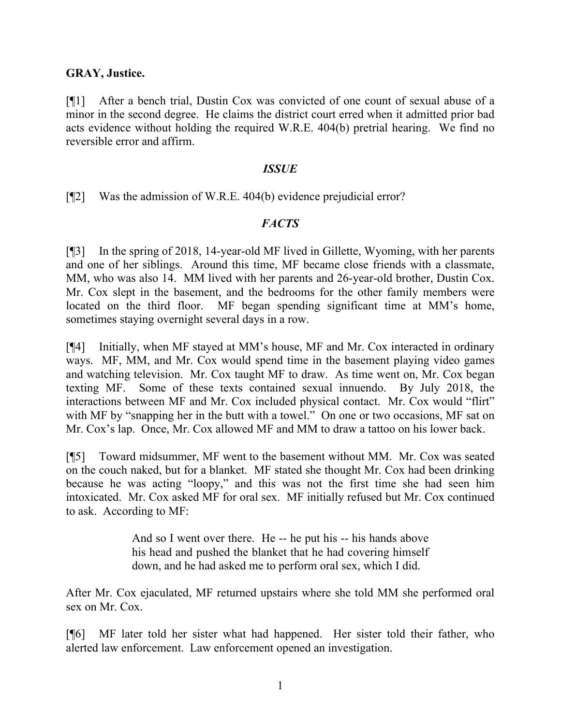#### **GRAY, Justice.**

[¶1] After a bench trial, Dustin Cox was convicted of one count of sexual abuse of a minor in the second degree. He claims the district court erred when it admitted prior bad acts evidence without holding the required W.R.E. 404(b) pretrial hearing. We find no reversible error and affirm.

#### *ISSUE*

[¶2] Was the admission of W.R.E. 404(b) evidence prejudicial error?

### *FACTS*

[¶3] In the spring of 2018, 14-year-old MF lived in Gillette, Wyoming, with her parents and one of her siblings. Around this time, MF became close friends with a classmate, MM, who was also 14. MM lived with her parents and 26-year-old brother, Dustin Cox. Mr. Cox slept in the basement, and the bedrooms for the other family members were located on the third floor. MF began spending significant time at MM's home, sometimes staying overnight several days in a row.

[¶4] Initially, when MF stayed at MM's house, MF and Mr. Cox interacted in ordinary ways. MF, MM, and Mr. Cox would spend time in the basement playing video games and watching television. Mr. Cox taught MF to draw. As time went on, Mr. Cox began texting MF. Some of these texts contained sexual innuendo. By July 2018, the interactions between MF and Mr. Cox included physical contact. Mr. Cox would "flirt" with MF by "snapping her in the butt with a towel." On one or two occasions, MF sat on Mr. Cox's lap. Once, Mr. Cox allowed MF and MM to draw a tattoo on his lower back.

[¶5] Toward midsummer, MF went to the basement without MM. Mr. Cox was seated on the couch naked, but for a blanket. MF stated she thought Mr. Cox had been drinking because he was acting "loopy," and this was not the first time she had seen him intoxicated. Mr. Cox asked MF for oral sex. MF initially refused but Mr. Cox continued to ask. According to MF:

> And so I went over there. He -- he put his -- his hands above his head and pushed the blanket that he had covering himself down, and he had asked me to perform oral sex, which I did.

After Mr. Cox ejaculated, MF returned upstairs where she told MM she performed oral sex on Mr. Cox.

[¶6] MF later told her sister what had happened. Her sister told their father, who alerted law enforcement. Law enforcement opened an investigation.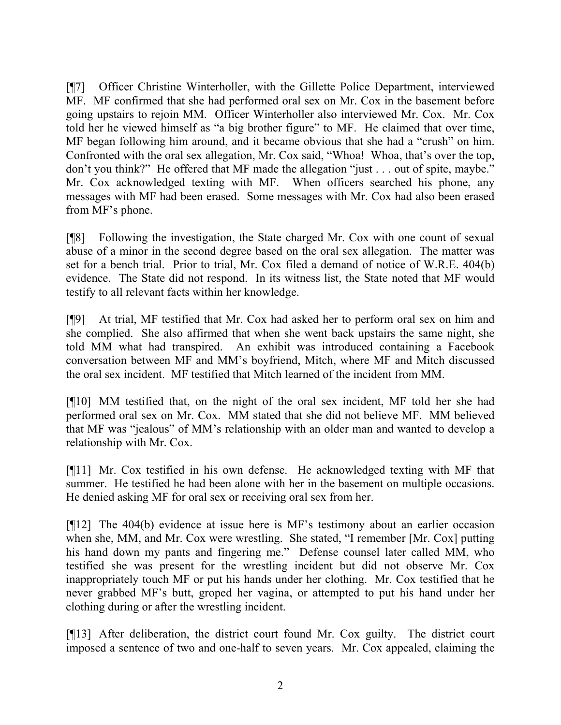[¶7] Officer Christine Winterholler, with the Gillette Police Department, interviewed MF. MF confirmed that she had performed oral sex on Mr. Cox in the basement before going upstairs to rejoin MM. Officer Winterholler also interviewed Mr. Cox. Mr. Cox told her he viewed himself as "a big brother figure" to MF. He claimed that over time, MF began following him around, and it became obvious that she had a "crush" on him. Confronted with the oral sex allegation, Mr. Cox said, "Whoa! Whoa, that's over the top, don't you think?" He offered that MF made the allegation "just . . . out of spite, maybe." Mr. Cox acknowledged texting with MF. When officers searched his phone, any messages with MF had been erased. Some messages with Mr. Cox had also been erased from MF's phone.

[¶8] Following the investigation, the State charged Mr. Cox with one count of sexual abuse of a minor in the second degree based on the oral sex allegation. The matter was set for a bench trial. Prior to trial, Mr. Cox filed a demand of notice of W.R.E. 404(b) evidence. The State did not respond. In its witness list, the State noted that MF would testify to all relevant facts within her knowledge.

[¶9] At trial, MF testified that Mr. Cox had asked her to perform oral sex on him and she complied. She also affirmed that when she went back upstairs the same night, she told MM what had transpired. An exhibit was introduced containing a Facebook conversation between MF and MM's boyfriend, Mitch, where MF and Mitch discussed the oral sex incident. MF testified that Mitch learned of the incident from MM.

[¶10] MM testified that, on the night of the oral sex incident, MF told her she had performed oral sex on Mr. Cox. MM stated that she did not believe MF. MM believed that MF was "jealous" of MM's relationship with an older man and wanted to develop a relationship with Mr. Cox.

[¶11] Mr. Cox testified in his own defense. He acknowledged texting with MF that summer. He testified he had been alone with her in the basement on multiple occasions. He denied asking MF for oral sex or receiving oral sex from her.

[¶12] The 404(b) evidence at issue here is MF's testimony about an earlier occasion when she, MM, and Mr. Cox were wrestling. She stated, "I remember [Mr. Cox] putting his hand down my pants and fingering me." Defense counsel later called MM, who testified she was present for the wrestling incident but did not observe Mr. Cox inappropriately touch MF or put his hands under her clothing. Mr. Cox testified that he never grabbed MF's butt, groped her vagina, or attempted to put his hand under her clothing during or after the wrestling incident.

[¶13] After deliberation, the district court found Mr. Cox guilty. The district court imposed a sentence of two and one-half to seven years. Mr. Cox appealed, claiming the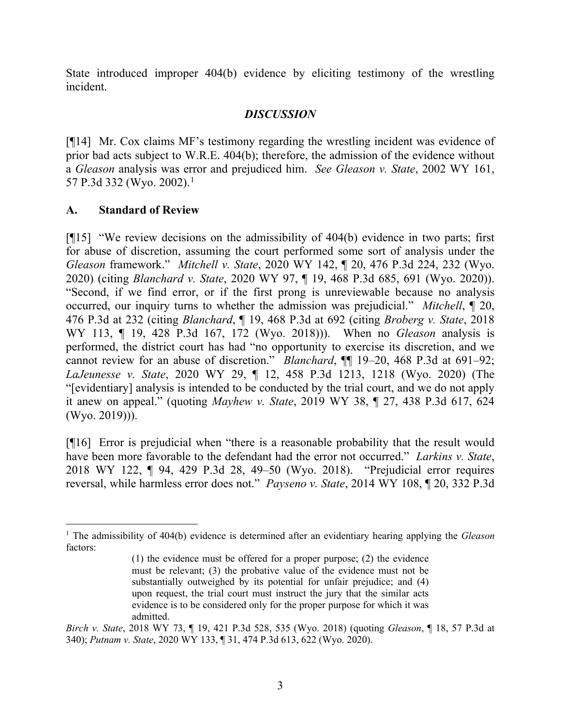State introduced improper 404(b) evidence by eliciting testimony of the wrestling incident.

## *DISCUSSION*

[¶14] Mr. Cox claims MF's testimony regarding the wrestling incident was evidence of prior bad acts subject to W.R.E. 404(b); therefore, the admission of the evidence without a *Gleason* analysis was error and prejudiced him. *See Gleason v. State*, 2002 WY 161, 57 P.3d 332 (Wyo. 2002).<sup>[1](#page-3-0)</sup>

# **A. Standard of Review**

[¶15] "We review decisions on the admissibility of 404(b) evidence in two parts; first for abuse of discretion, assuming the court performed some sort of analysis under the *Gleason* framework." *Mitchell v. State*, 2020 WY 142, ¶ 20, 476 P.3d 224, 232 (Wyo. 2020) (citing *Blanchard v. State*, 2020 WY 97, ¶ 19, 468 P.3d 685, 691 (Wyo. 2020)). "Second, if we find error, or if the first prong is unreviewable because no analysis occurred, our inquiry turns to whether the admission was prejudicial." *Mitchell*, ¶ 20, 476 P.3d at 232 (citing *Blanchard*, ¶ 19, 468 P.3d at 692 (citing *Broberg v. State*, 2018 WY 113, ¶ 19, 428 P.3d 167, 172 (Wyo. 2018))). When no *Gleason* analysis is performed, the district court has had "no opportunity to exercise its discretion, and we cannot review for an abuse of discretion." *Blanchard*, ¶¶ 19–20, 468 P.3d at 691–92; *LaJeunesse v. State*, 2020 WY 29, ¶ 12, 458 P.3d 1213, 1218 (Wyo. 2020) (The "[evidentiary] analysis is intended to be conducted by the trial court, and we do not apply it anew on appeal." (quoting *Mayhew v. State*, 2019 WY 38, ¶ 27, 438 P.3d 617, 624 (Wyo. 2019))).

[¶16] Error is prejudicial when "there is a reasonable probability that the result would have been more favorable to the defendant had the error not occurred." *Larkins v. State*, 2018 WY 122, ¶ 94, 429 P.3d 28, 49–50 (Wyo. 2018). "Prejudicial error requires reversal, while harmless error does not." *Payseno v. State*, 2014 WY 108, ¶ 20, 332 P.3d

<span id="page-3-0"></span><sup>1</sup> The admissibility of 404(b) evidence is determined after an evidentiary hearing applying the *Gleason* factors:

<sup>(1)</sup> the evidence must be offered for a proper purpose; (2) the evidence must be relevant; (3) the probative value of the evidence must not be substantially outweighed by its potential for unfair prejudice; and (4) upon request, the trial court must instruct the jury that the similar acts evidence is to be considered only for the proper purpose for which it was admitted.

*Birch v. State*, 2018 WY 73, ¶ 19, 421 P.3d 528, 535 (Wyo. 2018) (quoting *Gleason*, ¶ 18, 57 P.3d at 340); *Putnam v. State*, 2020 WY 133, ¶ 31, 474 P.3d 613, 622 (Wyo. 2020).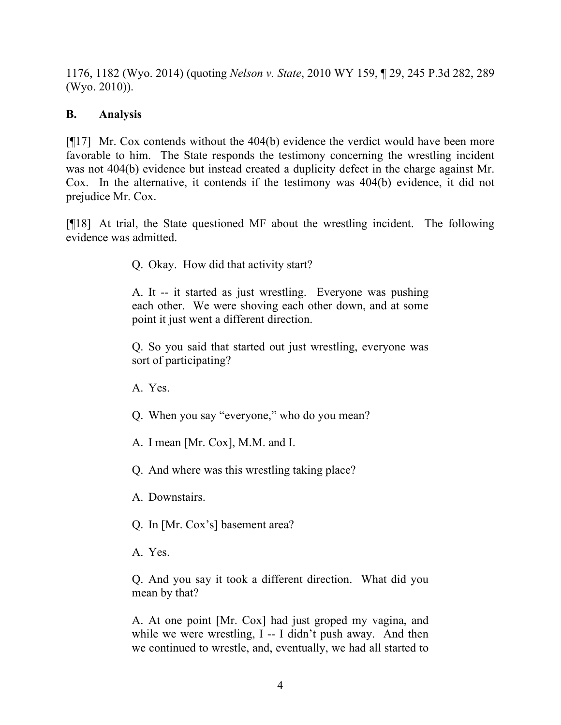1176, 1182 (Wyo. 2014) (quoting *Nelson v. State*, 2010 WY 159, ¶ 29, 245 P.3d 282, 289 (Wyo. 2010)).

# **B. Analysis**

[¶17] Mr. Cox contends without the 404(b) evidence the verdict would have been more favorable to him. The State responds the testimony concerning the wrestling incident was not 404(b) evidence but instead created a duplicity defect in the charge against Mr. Cox. In the alternative, it contends if the testimony was 404(b) evidence, it did not prejudice Mr. Cox.

[¶18] At trial, the State questioned MF about the wrestling incident. The following evidence was admitted.

Q. Okay. How did that activity start?

A. It -- it started as just wrestling. Everyone was pushing each other. We were shoving each other down, and at some point it just went a different direction.

Q. So you said that started out just wrestling, everyone was sort of participating?

A. Yes.

Q. When you say "everyone," who do you mean?

A. I mean [Mr. Cox], M.M. and I.

Q. And where was this wrestling taking place?

A. Downstairs.

Q. In [Mr. Cox's] basement area?

A. Yes.

Q. And you say it took a different direction. What did you mean by that?

A. At one point [Mr. Cox] had just groped my vagina, and while we were wrestling, I -- I didn't push away. And then we continued to wrestle, and, eventually, we had all started to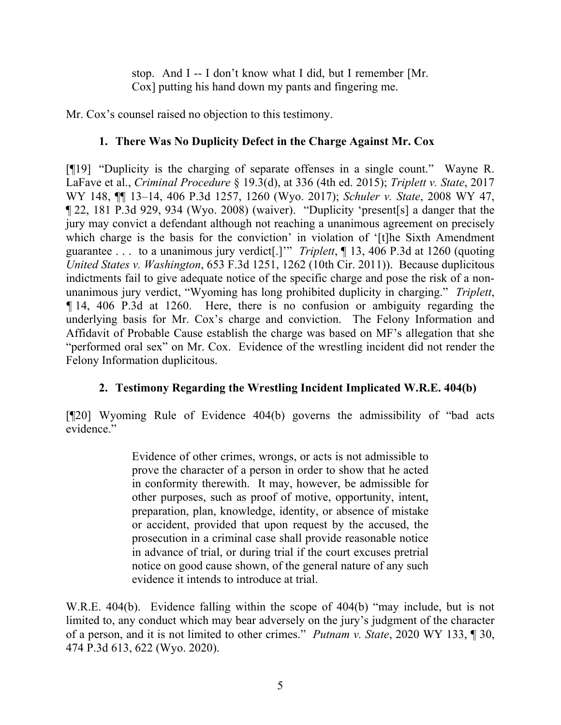stop. And I -- I don't know what I did, but I remember [Mr. Cox] putting his hand down my pants and fingering me.

Mr. Cox's counsel raised no objection to this testimony.

# **1. There Was No Duplicity Defect in the Charge Against Mr. Cox**

[¶19] "Duplicity is the charging of separate offenses in a single count." Wayne R. LaFave et al., *Criminal Procedure* § 19.3(d), at 336 (4th ed. 2015); *Triplett v. State*, 2017 WY 148, ¶¶ 13–14, 406 P.3d 1257, 1260 (Wyo. 2017); *Schuler v. State*, 2008 WY 47, ¶ 22, 181 P.3d 929, 934 (Wyo. 2008) (waiver). "Duplicity 'present[s] a danger that the jury may convict a defendant although not reaching a unanimous agreement on precisely which charge is the basis for the conviction' in violation of '[t]he Sixth Amendment guarantee . . . to a unanimous jury verdict[.]'" *Triplett*, ¶ 13, 406 P.3d at 1260 (quoting *United States v. Washington*, 653 F.3d 1251, 1262 (10th Cir. 2011)). Because duplicitous indictments fail to give adequate notice of the specific charge and pose the risk of a nonunanimous jury verdict, "Wyoming has long prohibited duplicity in charging." *Triplett*, *¶* 14, 406 P.3d at 1260. Here, there is no confusion or ambiguity regarding the underlying basis for Mr. Cox's charge and conviction. The Felony Information and Affidavit of Probable Cause establish the charge was based on MF's allegation that she "performed oral sex" on Mr. Cox. Evidence of the wrestling incident did not render the Felony Information duplicitous.

# **2. Testimony Regarding the Wrestling Incident Implicated W.R.E. 404(b)**

[¶20] Wyoming Rule of Evidence 404(b) governs the admissibility of "bad acts evidence."

> Evidence of other crimes, wrongs, or acts is not admissible to prove the character of a person in order to show that he acted in conformity therewith. It may, however, be admissible for other purposes, such as proof of motive, opportunity, intent, preparation, plan, knowledge, identity, or absence of mistake or accident, provided that upon request by the accused, the prosecution in a criminal case shall provide reasonable notice in advance of trial, or during trial if the court excuses pretrial notice on good cause shown, of the general nature of any such evidence it intends to introduce at trial.

W.R.E. 404(b). Evidence falling within the scope of 404(b) "may include, but is not limited to, any conduct which may bear adversely on the jury's judgment of the character of a person, and it is not limited to other crimes." *Putnam v. State*, 2020 WY 133, ¶ 30, 474 P.3d 613, 622 (Wyo. 2020).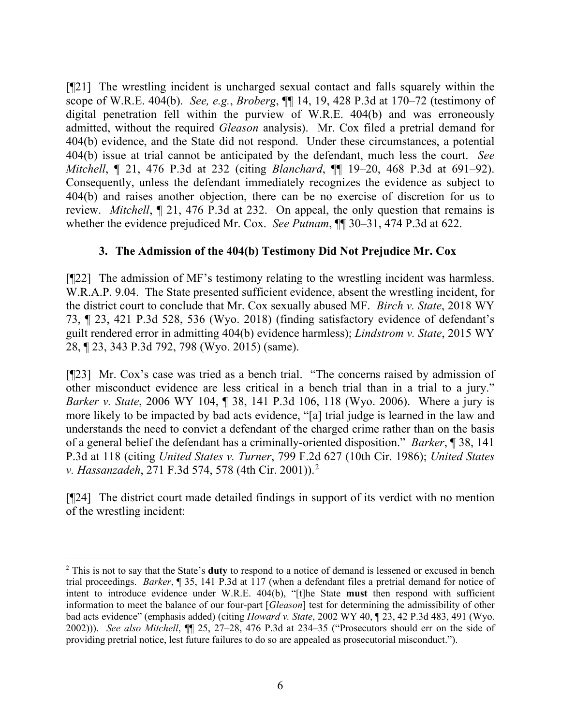[¶21] The wrestling incident is uncharged sexual contact and falls squarely within the scope of W.R.E. 404(b). *See, e.g.*, *Broberg*, ¶¶ 14, 19, 428 P.3d at 170–72 (testimony of digital penetration fell within the purview of W.R.E. 404(b) and was erroneously admitted, without the required *Gleason* analysis). Mr. Cox filed a pretrial demand for 404(b) evidence, and the State did not respond. Under these circumstances, a potential 404(b) issue at trial cannot be anticipated by the defendant, much less the court. *See Mitchell*, ¶ 21, 476 P.3d at 232 (citing *Blanchard*, ¶¶ 19–20, 468 P.3d at 691–92). Consequently, unless the defendant immediately recognizes the evidence as subject to 404(b) and raises another objection, there can be no exercise of discretion for us to review. *Mitchell*, ¶ 21, 476 P.3d at 232. On appeal, the only question that remains is whether the evidence prejudiced Mr. Cox. *See Putnam*, ¶¶ 30–31, 474 P.3d at 622.

# **3. The Admission of the 404(b) Testimony Did Not Prejudice Mr. Cox**

[¶22] The admission of MF's testimony relating to the wrestling incident was harmless. W.R.A.P. 9.04. The State presented sufficient evidence, absent the wrestling incident, for the district court to conclude that Mr. Cox sexually abused MF. *Birch v. State*, 2018 WY 73, ¶ 23, 421 P.3d 528, 536 (Wyo. 2018) (finding satisfactory evidence of defendant's guilt rendered error in admitting 404(b) evidence harmless); *Lindstrom v. State*, 2015 WY 28, ¶ 23, 343 P.3d 792, 798 (Wyo. 2015) (same).

[¶23] Mr. Cox's case was tried as a bench trial. "The concerns raised by admission of other misconduct evidence are less critical in a bench trial than in a trial to a jury." *Barker v. State*, 2006 WY 104, ¶ 38, 141 P.3d 106, 118 (Wyo. 2006). Where a jury is more likely to be impacted by bad acts evidence, "[a] trial judge is learned in the law and understands the need to convict a defendant of the charged crime rather than on the basis of a general belief the defendant has a criminally-oriented disposition." *Barker*, ¶ 38, 141 P.3d at 118 (citing *United States v. Turner*, 799 F.2d 627 (10th Cir. 1986); *United States v. Hassanzadeh*, 271 F.3d 574, 578 (4th Cir. 2001)).[2](#page-6-0)

[¶24] The district court made detailed findings in support of its verdict with no mention of the wrestling incident:

<span id="page-6-0"></span><sup>2</sup> This is not to say that the State's **duty** to respond to a notice of demand is lessened or excused in bench trial proceedings. *Barker*, ¶ 35, 141 P.3d at 117 (when a defendant files a pretrial demand for notice of intent to introduce evidence under W.R.E. 404(b), "[t]he State **must** then respond with sufficient information to meet the balance of our four-part [*Gleason*] test for determining the admissibility of other bad acts evidence" (emphasis added) (citing *Howard v. State*, 2002 WY 40, ¶ 23, 42 P.3d 483, 491 (Wyo. 2002))). *See also Mitchell*, ¶¶ 25, 27–28, 476 P.3d at 234–35 ("Prosecutors should err on the side of providing pretrial notice, lest future failures to do so are appealed as prosecutorial misconduct.").